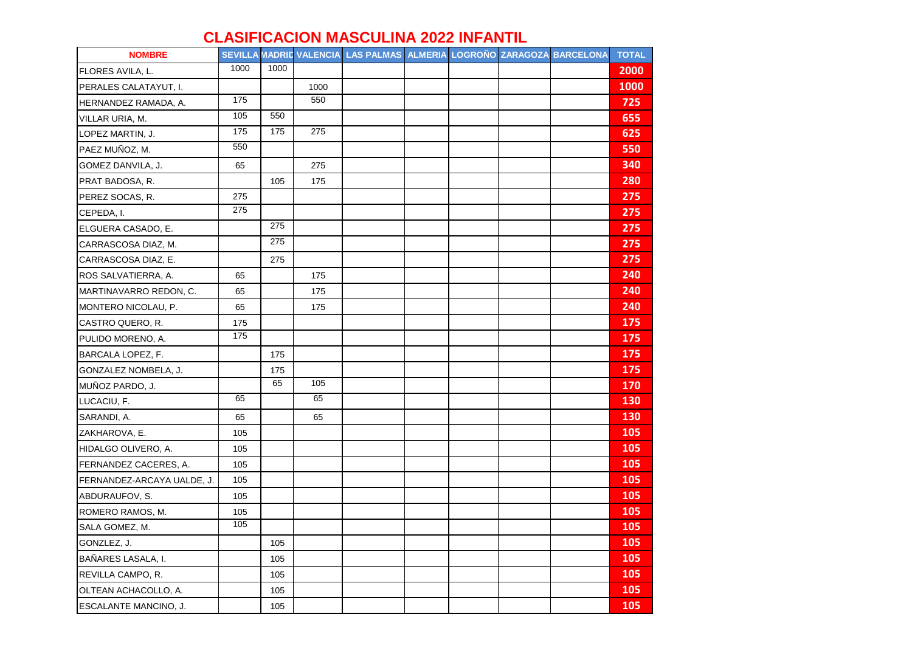## **CLASIFICACION MASCULINA 2022 INFANTIL**

| <b>NOMBRE</b>              |      |      |      | SEVILLA MADRID VALENCIA LAS PALMAS ALMERIA LOGROÑO ZARAGOZA BARCELONA |  |  | <b>TOTAL</b> |
|----------------------------|------|------|------|-----------------------------------------------------------------------|--|--|--------------|
| FLORES AVILA, L.           | 1000 | 1000 |      |                                                                       |  |  | 2000         |
| PERALES CALATAYUT, I.      |      |      | 1000 |                                                                       |  |  | <b>1000</b>  |
| HERNANDEZ RAMADA, A.       | 175  |      | 550  |                                                                       |  |  | 725          |
| VILLAR URIA, M.            | 105  | 550  |      |                                                                       |  |  | 655          |
| LOPEZ MARTIN, J.           | 175  | 175  | 275  |                                                                       |  |  | 625          |
| PAEZ MUÑOZ, M.             | 550  |      |      |                                                                       |  |  | 550          |
| GOMEZ DANVILA, J.          | 65   |      | 275  |                                                                       |  |  | 340          |
| PRAT BADOSA, R.            |      | 105  | 175  |                                                                       |  |  | 280          |
| PEREZ SOCAS, R.            | 275  |      |      |                                                                       |  |  | 275          |
| CEPEDA, I.                 | 275  |      |      |                                                                       |  |  | 275          |
| ELGUERA CASADO, E.         |      | 275  |      |                                                                       |  |  | 275          |
| CARRASCOSA DIAZ, M.        |      | 275  |      |                                                                       |  |  | 275          |
| CARRASCOSA DIAZ, E.        |      | 275  |      |                                                                       |  |  | 275          |
| ROS SALVATIERRA, A.        | 65   |      | 175  |                                                                       |  |  | 240          |
| MARTINAVARRO REDON, C.     | 65   |      | 175  |                                                                       |  |  | 240          |
| MONTERO NICOLAU, P.        | 65   |      | 175  |                                                                       |  |  | 240          |
| CASTRO QUERO, R.           | 175  |      |      |                                                                       |  |  | 175          |
| PULIDO MORENO, A.          | 175  |      |      |                                                                       |  |  | 175          |
| BARCALA LOPEZ, F.          |      | 175  |      |                                                                       |  |  | 175          |
| GONZALEZ NOMBELA, J.       |      | 175  |      |                                                                       |  |  | 175          |
| MUÑOZ PARDO, J.            |      | 65   | 105  |                                                                       |  |  | 170          |
| LUCACIU, F.                | 65   |      | 65   |                                                                       |  |  | 130          |
| SARANDI, A.                | 65   |      | 65   |                                                                       |  |  | 130          |
| ZAKHAROVA, E.              | 105  |      |      |                                                                       |  |  | 105          |
| HIDALGO OLIVERO, A.        | 105  |      |      |                                                                       |  |  | 105          |
| FERNANDEZ CACERES, A.      | 105  |      |      |                                                                       |  |  | 105          |
| FERNANDEZ-ARCAYA UALDE, J. | 105  |      |      |                                                                       |  |  | 105          |
| ABDURAUFOV, S.             | 105  |      |      |                                                                       |  |  | 105          |
| ROMERO RAMOS, M.           | 105  |      |      |                                                                       |  |  | <b>105</b>   |
| SALA GOMEZ, M.             | 105  |      |      |                                                                       |  |  | 105          |
| GONZLEZ, J.                |      | 105  |      |                                                                       |  |  | 105          |
| BAÑARES LASALA, I.         |      | 105  |      |                                                                       |  |  | 105          |
| REVILLA CAMPO, R.          |      | 105  |      |                                                                       |  |  | 105          |
| OLTEAN ACHACOLLO, A.       |      | 105  |      |                                                                       |  |  | 105          |
| ESCALANTE MANCINO, J.      |      | 105  |      |                                                                       |  |  | 105          |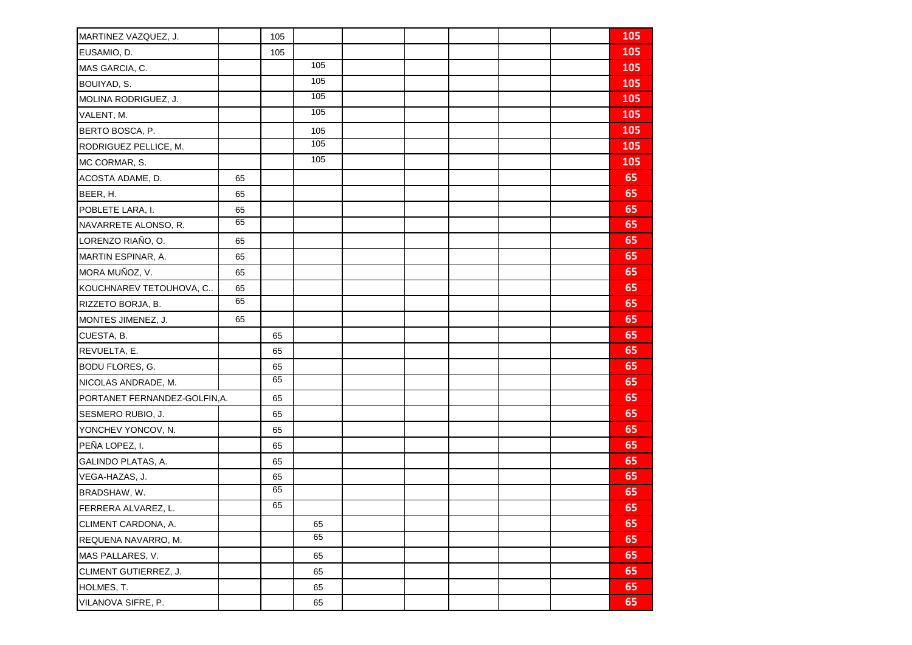| MARTINEZ VAZQUEZ, J.          |    | 105 |                 |  |  | 105 |
|-------------------------------|----|-----|-----------------|--|--|-----|
| EUSAMIO, D.                   |    | 105 |                 |  |  | 105 |
| MAS GARCIA, C.                |    |     | 105             |  |  | 105 |
| BOUIYAD, S.                   |    |     | 105             |  |  | 105 |
| MOLINA RODRIGUEZ, J.          |    |     | $\frac{105}{2}$ |  |  | 105 |
| VALENT, M.                    |    |     | 105             |  |  | 105 |
| BERTO BOSCA, P.               |    |     | 105             |  |  | 105 |
| RODRIGUEZ PELLICE, M.         |    |     | $\frac{105}{2}$ |  |  | 105 |
| MC CORMAR, S.                 |    |     | 105             |  |  | 105 |
| ACOSTA ADAME, D.              | 65 |     |                 |  |  | 65  |
| BEER, H.                      | 65 |     |                 |  |  | 65  |
| POBLETE LARA, I.              | 65 |     |                 |  |  | 65  |
| NAVARRETE ALONSO, R.          | 65 |     |                 |  |  | 65  |
| LORENZO RIAÑO, O.             | 65 |     |                 |  |  | 65  |
| MARTIN ESPINAR, A.            | 65 |     |                 |  |  | 65  |
| MORA MUÑOZ, V.                | 65 |     |                 |  |  | 65  |
| KOUCHNAREV TETOUHOVA, C       | 65 |     |                 |  |  | 65  |
| RIZZETO BORJA, B.             | 65 |     |                 |  |  | 65  |
| MONTES JIMENEZ, J.            | 65 |     |                 |  |  | 65  |
| CUESTA, B.                    |    | 65  |                 |  |  | 65  |
| REVUELTA, E.                  |    | 65  |                 |  |  | 65  |
| <b>BODU FLORES, G.</b>        |    | 65  |                 |  |  | 65  |
| NICOLAS ANDRADE, M.           |    | 65  |                 |  |  | 65  |
| PORTANET FERNANDEZ-GOLFIN, A. |    | 65  |                 |  |  | 65  |
| SESMERO RUBIO, J.             |    | 65  |                 |  |  | 65  |
| YONCHEV YONCOV, N.            |    | 65  |                 |  |  | 65  |
| PEÑA LOPEZ, I.                |    | 65  |                 |  |  | 65  |
| GALINDO PLATAS, A.            |    | 65  |                 |  |  | 65  |
| VEGA-HAZAS, J.                |    | 65  |                 |  |  | 65  |
| BRADSHAW, W.                  |    | 65  |                 |  |  | 65  |
| FERRERA ALVAREZ, L.           |    | 65  |                 |  |  | 65  |
| CLIMENT CARDONA, A.           |    |     | 65              |  |  | 65  |
| REQUENA NAVARRO, M.           |    |     | 65              |  |  | 65  |
| MAS PALLARES, V.              |    |     | 65              |  |  | 65  |
| CLIMENT GUTIERREZ, J.         |    |     | 65              |  |  | 65  |
| HOLMES, T.                    |    |     | 65              |  |  | 65  |
| VILANOVA SIFRE, P.            |    |     | 65              |  |  | 65  |